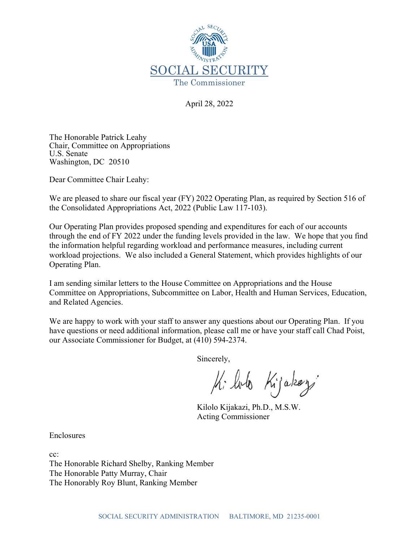

April 28, 2022

The Honorable Patrick Leahy Chair, Committee on Appropriations U.S. Senate Washington, DC 20510

Dear Committee Chair Leahy:

We are pleased to share our fiscal year (FY) 2022 Operating Plan, as required by Section 516 of the Consolidated Appropriations Act, 2022 (Public Law 117-103).

Our Operating Plan provides proposed spending and expenditures for each of our accounts through the end of FY 2022 under the funding levels provided in the law. We hope that you find the information helpful regarding workload and performance measures, including current workload projections. We also included a General Statement, which provides highlights of our Operating Plan.

I am sending similar letters to the House Committee on Appropriations and the House Committee on Appropriations, Subcommittee on Labor, Health and Human Services, Education, and Related Agencies.

We are happy to work with your staff to answer any questions about our Operating Plan. If you have questions or need additional information, please call me or have your staff call Chad Poist, our Associate Commissioner for Budget, at (410) 594-2374.

Sincerely,

Ki loto Kijakozí

Kilolo Kijakazi, Ph.D., M.S.W. Acting Commissioner

Enclosures

cc: The Honorable Richard Shelby, Ranking Member The Honorable Patty Murray, Chair The Honorably Roy Blunt, Ranking Member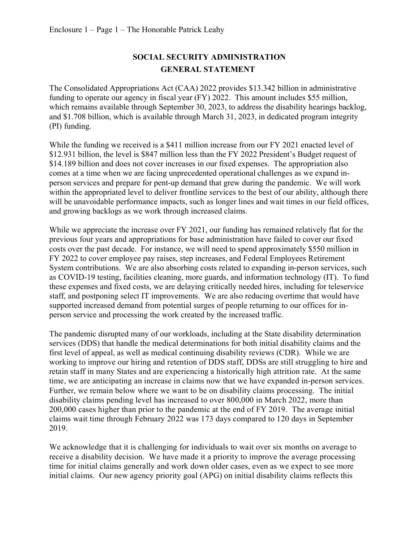## **SOCIAL SECURITY ADMINISTRATION GENERAL STATEMENT**

The Consolidated Appropriations Act (CAA) 2022 provides \$13.342 billion in administrative funding to operate our agency in fiscal year (FY) 2022. This amount includes \$55 million, which remains available through September 30, 2023, to address the disability hearings backlog, and \$1.708 billion, which is available through March 31, 2023, in dedicated program integrity (PI) funding.

While the funding we received is a \$411 million increase from our FY 2021 enacted level of \$12.931 billion, the level is \$847 million less than the FY 2022 President's Budget request of \$14.189 billion and does not cover increases in our fixed expenses. The appropriation also comes at a time when we are facing unprecedented operational challenges as we expand inperson services and prepare for pent-up demand that grew during the pandemic. We will work within the appropriated level to deliver frontline services to the best of our ability, although there will be unavoidable performance impacts, such as longer lines and wait times in our field offices, and growing backlogs as we work through increased claims.

While we appreciate the increase over FY 2021, our funding has remained relatively flat for the previous four years and appropriations for base administration have failed to cover our fixed costs over the past decade. For instance, we will need to spend approximately \$550 million in FY 2022 to cover employee pay raises, step increases, and Federal Employees Retirement System contributions. We are also absorbing costs related to expanding in-person services, such as COVID-19 testing, facilities cleaning, more guards, and information technology (IT). To fund these expenses and fixed costs, we are delaying critically needed hires, including for teleservice staff, and postponing select IT improvements. We are also reducing overtime that would have supported increased demand from potential surges of people returning to our offices for inperson service and processing the work created by the increased traffic.

The pandemic disrupted many of our workloads, including at the State disability determination services (DDS) that handle the medical determinations for both initial disability claims and the first level of appeal, as well as medical continuing disability reviews (CDR). While we are working to improve our hiring and retention of DDS staff, DDSs are still struggling to hire and retain staff in many States and are experiencing a historically high attrition rate. At the same time, we are anticipating an increase in claims now that we have expanded in-person services. Further, we remain below where we want to be on disability claims processing. The initial disability claims pending level has increased to over 800,000 in March 2022, more than 200,000 cases higher than prior to the pandemic at the end of FY 2019. The average initial claims wait time through February 2022 was 173 days compared to 120 days in September 2019.

We acknowledge that it is challenging for individuals to wait over six months on average to receive a disability decision. We have made it a priority to improve the average processing time for initial claims generally and work down older cases, even as we expect to see more initial claims. Our new agency priority goal (APG) on initial disability claims reflects this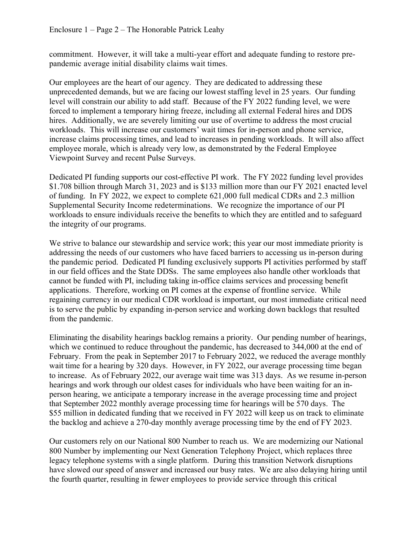commitment. However, it will take a multi-year effort and adequate funding to restore prepandemic average initial disability claims wait times.

Our employees are the heart of our agency. They are dedicated to addressing these unprecedented demands, but we are facing our lowest staffing level in 25 years. Our funding level will constrain our ability to add staff. Because of the FY 2022 funding level, we were forced to implement a temporary hiring freeze, including all external Federal hires and DDS hires. Additionally, we are severely limiting our use of overtime to address the most crucial workloads. This will increase our customers' wait times for in-person and phone service, increase claims processing times, and lead to increases in pending workloads. It will also affect employee morale, which is already very low, as demonstrated by the Federal Employee Viewpoint Survey and recent Pulse Surveys.

Dedicated PI funding supports our cost-effective PI work. The FY 2022 funding level provides \$1.708 billion through March 31, 2023 and is \$133 million more than our FY 2021 enacted level of funding. In FY 2022, we expect to complete 621,000 full medical CDRs and 2.3 million Supplemental Security Income redeterminations. We recognize the importance of our PI workloads to ensure individuals receive the benefits to which they are entitled and to safeguard the integrity of our programs.

We strive to balance our stewardship and service work; this year our most immediate priority is addressing the needs of our customers who have faced barriers to accessing us in-person during the pandemic period. Dedicated PI funding exclusively supports PI activities performed by staff in our field offices and the State DDSs. The same employees also handle other workloads that cannot be funded with PI, including taking in-office claims services and processing benefit applications. Therefore, working on PI comes at the expense of frontline service. While regaining currency in our medical CDR workload is important, our most immediate critical need is to serve the public by expanding in-person service and working down backlogs that resulted from the pandemic.

Eliminating the disability hearings backlog remains a priority. Our pending number of hearings, which we continued to reduce throughout the pandemic, has decreased to 344,000 at the end of February. From the peak in September 2017 to February 2022, we reduced the average monthly wait time for a hearing by 320 days. However, in FY 2022, our average processing time began to increase. As of February 2022, our average wait time was 313 days. As we resume in-person hearings and work through our oldest cases for individuals who have been waiting for an inperson hearing, we anticipate a temporary increase in the average processing time and project that September 2022 monthly average processing time for hearings will be 570 days. The \$55 million in dedicated funding that we received in FY 2022 will keep us on track to eliminate the backlog and achieve a 270-day monthly average processing time by the end of FY 2023.

Our customers rely on our National 800 Number to reach us. We are modernizing our National 800 Number by implementing our Next Generation Telephony Project, which replaces three legacy telephone systems with a single platform. During this transition Network disruptions have slowed our speed of answer and increased our busy rates. We are also delaying hiring until the fourth quarter, resulting in fewer employees to provide service through this critical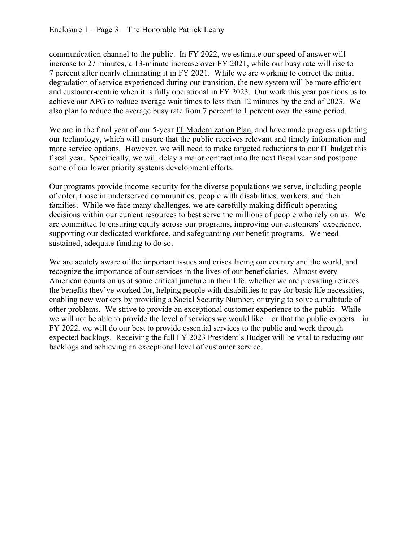communication channel to the public. In FY 2022, we estimate our speed of answer will increase to 27 minutes, a 13-minute increase over FY 2021, while our busy rate will rise to 7 percent after nearly eliminating it in FY 2021. While we are working to correct the initial degradation of service experienced during our transition, the new system will be more efficient and customer-centric when it is fully operational in FY 2023. Our work this year positions us to achieve our APG to reduce average wait times to less than 12 minutes by the end of 2023. We also plan to reduce the average busy rate from 7 percent to 1 percent over the same period.

We are in the final year of our 5-year [IT Modernization Plan,](https://www.ssa.gov/open/materials/IT-Modernization-Plan-2020-Update.pdf) and have made progress updating our technology, which will ensure that the public receives relevant and timely information and more service options. However, we will need to make targeted reductions to our IT budget this fiscal year. Specifically, we will delay a major contract into the next fiscal year and postpone some of our lower priority systems development efforts.

Our programs provide income security for the diverse populations we serve, including people of color, those in underserved communities, people with disabilities, workers, and their families. While we face many challenges, we are carefully making difficult operating decisions within our current resources to best serve the millions of people who rely on us. We are committed to ensuring equity across our programs, improving our customers' experience, supporting our dedicated workforce, and safeguarding our benefit programs. We need sustained, adequate funding to do so.

We are acutely aware of the important issues and crises facing our country and the world, and recognize the importance of our services in the lives of our beneficiaries. Almost every American counts on us at some critical juncture in their life, whether we are providing retirees the benefits they've worked for, helping people with disabilities to pay for basic life necessities, enabling new workers by providing a Social Security Number, or trying to solve a multitude of other problems. We strive to provide an exceptional customer experience to the public. While we will not be able to provide the level of services we would like – or that the public expects – in FY 2022, we will do our best to provide essential services to the public and work through expected backlogs. Receiving the full FY 2023 President's Budget will be vital to reducing our backlogs and achieving an exceptional level of customer service.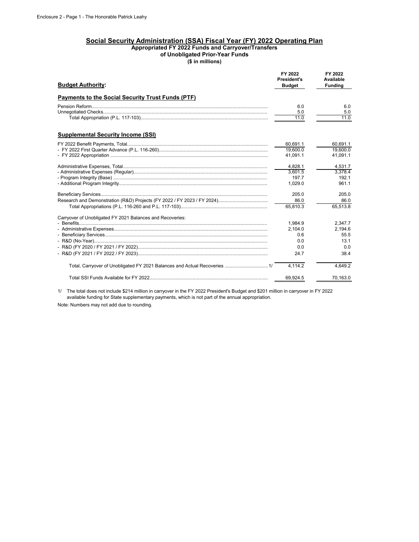## **Social Security Administration (SSA) Fiscal Year (FY) 2022 Operating Plan Appropriated FY 2022 Funds and Carryover/Transfers of Unobligated Prior-Year Funds**

**(\$ in millions)**

| <b>Budget Authority:</b>                                  | FY 2022<br><b>President's</b><br><b>Budget</b> | FY 2022<br>Available<br><b>Funding</b> |
|-----------------------------------------------------------|------------------------------------------------|----------------------------------------|
| Payments to the Social Security Trust Funds (PTF)         |                                                |                                        |
|                                                           | 6.0                                            | 6.0                                    |
|                                                           | 5.0                                            | 5.0                                    |
|                                                           | 11.0                                           | 11.0                                   |
| <b>Supplemental Security Income (SSI)</b>                 |                                                |                                        |
|                                                           | 60,691.1                                       | 60,691.1                               |
|                                                           | 19,600.0                                       | 19,600.0                               |
|                                                           | 41,091.1                                       | 41,091.1                               |
|                                                           | 4.828.1                                        | 4,531.7                                |
|                                                           | 3.601.5                                        | 3.378.4                                |
|                                                           | 197.7                                          | 192.1                                  |
|                                                           | 1,029.0                                        | 961.1                                  |
|                                                           | 205.0                                          | 205.0                                  |
|                                                           | 86.0                                           | 86.0                                   |
|                                                           | 65.810.3                                       | 65,513.8                               |
| Carryover of Unobligated FY 2021 Balances and Recoveries: |                                                |                                        |
|                                                           | 1,984.9                                        | 2,347.7                                |
|                                                           | 2,104.0                                        | 2,194.6                                |
|                                                           | 0.6                                            | 55.5                                   |
|                                                           | 0.0                                            | 13.1                                   |
|                                                           | 0.0                                            | 0.0                                    |
|                                                           | 24.7                                           | 38.4                                   |
|                                                           | 4,114.2                                        | 4,649.2                                |
|                                                           | 69.924.5                                       | 70,163.0                               |

1/ The total does not include \$214 million in carryover in the FY 2022 President's Budget and \$201 million in carryover in FY 2022 available funding for State supplementary payments, which is not part of the annual appropriation.

Note: Numbers may not add due to rounding.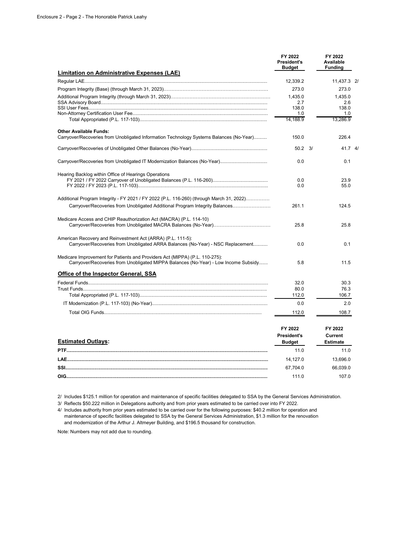|                                                                                                                                                                    | FY 2022<br><b>President's</b><br><b>Budget</b> | FY 2022<br>Available<br><b>Funding</b>       |  |
|--------------------------------------------------------------------------------------------------------------------------------------------------------------------|------------------------------------------------|----------------------------------------------|--|
| <b>Limitation on Administrative Expenses (LAE)</b>                                                                                                                 |                                                |                                              |  |
|                                                                                                                                                                    | 12,339.2                                       | 11,437.3 2                                   |  |
|                                                                                                                                                                    | 273.0                                          | 273.0                                        |  |
|                                                                                                                                                                    | 1.435.0<br>2.7                                 | 1.435.0<br>2.6                               |  |
|                                                                                                                                                                    | 138.0                                          | 138.0                                        |  |
|                                                                                                                                                                    | 1.0                                            | 1.0                                          |  |
|                                                                                                                                                                    | 14,188.9                                       | 13,286.9                                     |  |
| <b>Other Available Funds:</b><br>Carryover/Recoveries from Unobligated Information Technology Systems Balances (No-Year)                                           | 150.0                                          | 226.4                                        |  |
|                                                                                                                                                                    | $50.2 \quad 3/$                                | 41.74                                        |  |
|                                                                                                                                                                    | 0.0                                            | 0.1                                          |  |
| Hearing Backlog within Office of Hearings Operations                                                                                                               | 0.0<br>0.0                                     | 23.9<br>55.0                                 |  |
|                                                                                                                                                                    |                                                |                                              |  |
| Additional Program Integrity - FY 2021 / FY 2022 (P.L. 116-260) (through March 31, 2022)                                                                           |                                                |                                              |  |
| Carryover/Recoveries from Unobligated Additional Program Integrity Balances                                                                                        | 261.1                                          | 124.5                                        |  |
| Medicare Access and CHIP Reauthorization Act (MACRA) (P.L. 114-10)                                                                                                 | 25.8                                           | 25.8                                         |  |
| American Recovery and Reinvestment Act (ARRA) (P.L. 111-5):<br>Carryover/Recoveries from Unobligated ARRA Balances (No-Year) - NSC Replacement                     | 0.0                                            | 0.1                                          |  |
| Medicare Improvement for Patients and Providers Act (MIPPA) (P.L. 110-275):<br>Carryover/Recoveries from Unobligated MIPPA Balances (No-Year) - Low Income Subsidy | 5.8                                            | 11.5                                         |  |
| Office of the Inspector General, SSA                                                                                                                               |                                                |                                              |  |
|                                                                                                                                                                    | 32.0                                           | 30.3                                         |  |
|                                                                                                                                                                    | 80.0                                           | 76.3                                         |  |
|                                                                                                                                                                    | 112.0                                          | 106.7                                        |  |
|                                                                                                                                                                    | 0.0                                            | 2.0                                          |  |
|                                                                                                                                                                    | 112.0                                          | 108.7                                        |  |
| <b>Estimated Outlays:</b>                                                                                                                                          | FY 2022<br><b>President's</b><br><b>Budget</b> | FY 2022<br><b>Current</b><br><b>Estimate</b> |  |
|                                                                                                                                                                    | 11.0                                           | 11.0                                         |  |
|                                                                                                                                                                    | 14,127.0                                       | 13,696.0                                     |  |
|                                                                                                                                                                    | 67,704.0                                       | 66,039.0                                     |  |
|                                                                                                                                                                    | 111.0                                          | 107.0                                        |  |

2/ Includes \$125.1 million for operation and maintenance of specific facilities delegated to SSA by the General Services Administration.

3/ Reflects \$50.222 million in Delegations authority and from prior years estimated to be carried over into FY 2022.

 and modernization of the Arthur J. Altmeyer Building, and \$196.5 thousand for construction. 4/ Includes authority from prior years estimated to be carried over for the following purposes: \$40.2 million for operation and maintenance of specific facilities delegated to SSA by the General Services Administration, \$1.3 million for the renovation

Note: Numbers may not add due to rounding.